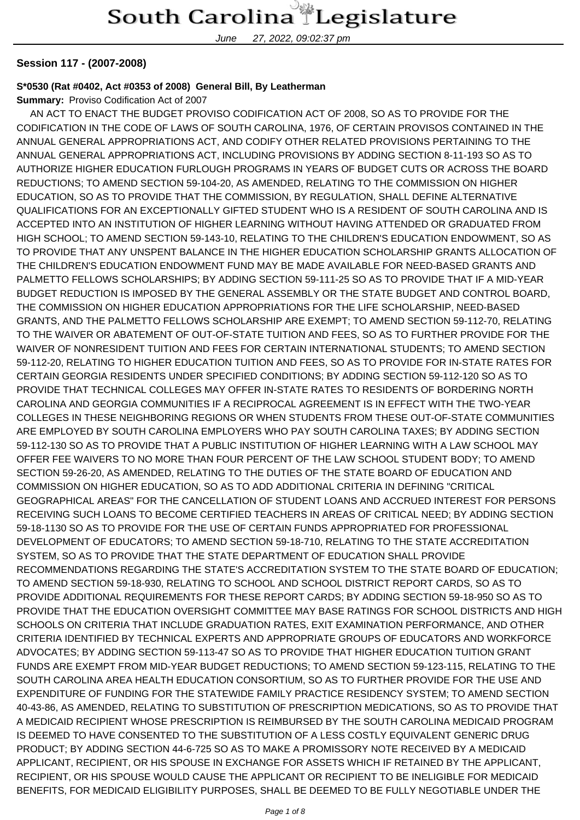June 27, 2022, 09:02:37 pm

#### **Session 117 - (2007-2008)**

#### **S\*0530 (Rat #0402, Act #0353 of 2008) General Bill, By Leatherman**

**Summary:** Proviso Codification Act of 2007

 AN ACT TO ENACT THE BUDGET PROVISO CODIFICATION ACT OF 2008, SO AS TO PROVIDE FOR THE CODIFICATION IN THE CODE OF LAWS OF SOUTH CAROLINA, 1976, OF CERTAIN PROVISOS CONTAINED IN THE ANNUAL GENERAL APPROPRIATIONS ACT, AND CODIFY OTHER RELATED PROVISIONS PERTAINING TO THE ANNUAL GENERAL APPROPRIATIONS ACT, INCLUDING PROVISIONS BY ADDING SECTION 8-11-193 SO AS TO AUTHORIZE HIGHER EDUCATION FURLOUGH PROGRAMS IN YEARS OF BUDGET CUTS OR ACROSS THE BOARD REDUCTIONS; TO AMEND SECTION 59-104-20, AS AMENDED, RELATING TO THE COMMISSION ON HIGHER EDUCATION, SO AS TO PROVIDE THAT THE COMMISSION, BY REGULATION, SHALL DEFINE ALTERNATIVE QUALIFICATIONS FOR AN EXCEPTIONALLY GIFTED STUDENT WHO IS A RESIDENT OF SOUTH CAROLINA AND IS ACCEPTED INTO AN INSTITUTION OF HIGHER LEARNING WITHOUT HAVING ATTENDED OR GRADUATED FROM HIGH SCHOOL; TO AMEND SECTION 59-143-10, RELATING TO THE CHILDREN'S EDUCATION ENDOWMENT, SO AS TO PROVIDE THAT ANY UNSPENT BALANCE IN THE HIGHER EDUCATION SCHOLARSHIP GRANTS ALLOCATION OF THE CHILDREN'S EDUCATION ENDOWMENT FUND MAY BE MADE AVAILABLE FOR NEED-BASED GRANTS AND PALMETTO FELLOWS SCHOLARSHIPS; BY ADDING SECTION 59-111-25 SO AS TO PROVIDE THAT IF A MID-YEAR BUDGET REDUCTION IS IMPOSED BY THE GENERAL ASSEMBLY OR THE STATE BUDGET AND CONTROL BOARD, THE COMMISSION ON HIGHER EDUCATION APPROPRIATIONS FOR THE LIFE SCHOLARSHIP, NEED-BASED GRANTS, AND THE PALMETTO FELLOWS SCHOLARSHIP ARE EXEMPT; TO AMEND SECTION 59-112-70, RELATING TO THE WAIVER OR ABATEMENT OF OUT-OF-STATE TUITION AND FEES, SO AS TO FURTHER PROVIDE FOR THE WAIVER OF NONRESIDENT TUITION AND FEES FOR CERTAIN INTERNATIONAL STUDENTS; TO AMEND SECTION 59-112-20, RELATING TO HIGHER EDUCATION TUITION AND FEES, SO AS TO PROVIDE FOR IN-STATE RATES FOR CERTAIN GEORGIA RESIDENTS UNDER SPECIFIED CONDITIONS; BY ADDING SECTION 59-112-120 SO AS TO PROVIDE THAT TECHNICAL COLLEGES MAY OFFER IN-STATE RATES TO RESIDENTS OF BORDERING NORTH CAROLINA AND GEORGIA COMMUNITIES IF A RECIPROCAL AGREEMENT IS IN EFFECT WITH THE TWO-YEAR COLLEGES IN THESE NEIGHBORING REGIONS OR WHEN STUDENTS FROM THESE OUT-OF-STATE COMMUNITIES ARE EMPLOYED BY SOUTH CAROLINA EMPLOYERS WHO PAY SOUTH CAROLINA TAXES; BY ADDING SECTION 59-112-130 SO AS TO PROVIDE THAT A PUBLIC INSTITUTION OF HIGHER LEARNING WITH A LAW SCHOOL MAY OFFER FEE WAIVERS TO NO MORE THAN FOUR PERCENT OF THE LAW SCHOOL STUDENT BODY; TO AMEND SECTION 59-26-20, AS AMENDED, RELATING TO THE DUTIES OF THE STATE BOARD OF EDUCATION AND COMMISSION ON HIGHER EDUCATION, SO AS TO ADD ADDITIONAL CRITERIA IN DEFINING "CRITICAL GEOGRAPHICAL AREAS" FOR THE CANCELLATION OF STUDENT LOANS AND ACCRUED INTEREST FOR PERSONS RECEIVING SUCH LOANS TO BECOME CERTIFIED TEACHERS IN AREAS OF CRITICAL NEED; BY ADDING SECTION 59-18-1130 SO AS TO PROVIDE FOR THE USE OF CERTAIN FUNDS APPROPRIATED FOR PROFESSIONAL DEVELOPMENT OF EDUCATORS; TO AMEND SECTION 59-18-710, RELATING TO THE STATE ACCREDITATION SYSTEM, SO AS TO PROVIDE THAT THE STATE DEPARTMENT OF EDUCATION SHALL PROVIDE RECOMMENDATIONS REGARDING THE STATE'S ACCREDITATION SYSTEM TO THE STATE BOARD OF EDUCATION; TO AMEND SECTION 59-18-930, RELATING TO SCHOOL AND SCHOOL DISTRICT REPORT CARDS, SO AS TO PROVIDE ADDITIONAL REQUIREMENTS FOR THESE REPORT CARDS; BY ADDING SECTION 59-18-950 SO AS TO PROVIDE THAT THE EDUCATION OVERSIGHT COMMITTEE MAY BASE RATINGS FOR SCHOOL DISTRICTS AND HIGH SCHOOLS ON CRITERIA THAT INCLUDE GRADUATION RATES, EXIT EXAMINATION PERFORMANCE, AND OTHER CRITERIA IDENTIFIED BY TECHNICAL EXPERTS AND APPROPRIATE GROUPS OF EDUCATORS AND WORKFORCE ADVOCATES; BY ADDING SECTION 59-113-47 SO AS TO PROVIDE THAT HIGHER EDUCATION TUITION GRANT FUNDS ARE EXEMPT FROM MID-YEAR BUDGET REDUCTIONS; TO AMEND SECTION 59-123-115, RELATING TO THE SOUTH CAROLINA AREA HEALTH EDUCATION CONSORTIUM, SO AS TO FURTHER PROVIDE FOR THE USE AND EXPENDITURE OF FUNDING FOR THE STATEWIDE FAMILY PRACTICE RESIDENCY SYSTEM; TO AMEND SECTION 40-43-86, AS AMENDED, RELATING TO SUBSTITUTION OF PRESCRIPTION MEDICATIONS, SO AS TO PROVIDE THAT A MEDICAID RECIPIENT WHOSE PRESCRIPTION IS REIMBURSED BY THE SOUTH CAROLINA MEDICAID PROGRAM IS DEEMED TO HAVE CONSENTED TO THE SUBSTITUTION OF A LESS COSTLY EQUIVALENT GENERIC DRUG PRODUCT; BY ADDING SECTION 44-6-725 SO AS TO MAKE A PROMISSORY NOTE RECEIVED BY A MEDICAID APPLICANT, RECIPIENT, OR HIS SPOUSE IN EXCHANGE FOR ASSETS WHICH IF RETAINED BY THE APPLICANT, RECIPIENT, OR HIS SPOUSE WOULD CAUSE THE APPLICANT OR RECIPIENT TO BE INELIGIBLE FOR MEDICAID BENEFITS, FOR MEDICAID ELIGIBILITY PURPOSES, SHALL BE DEEMED TO BE FULLY NEGOTIABLE UNDER THE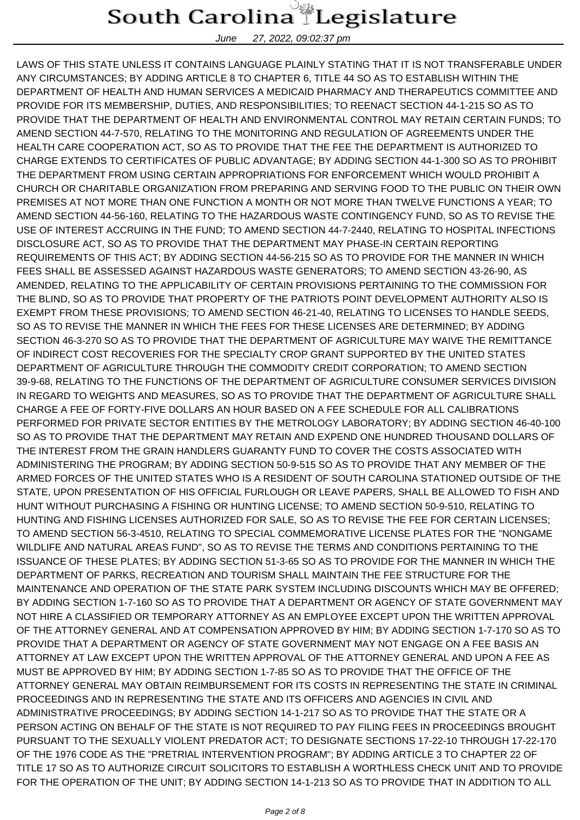June 27, 2022, 09:02:37 pm

LAWS OF THIS STATE UNLESS IT CONTAINS LANGUAGE PLAINLY STATING THAT IT IS NOT TRANSFERABLE UNDER ANY CIRCUMSTANCES; BY ADDING ARTICLE 8 TO CHAPTER 6, TITLE 44 SO AS TO ESTABLISH WITHIN THE DEPARTMENT OF HEALTH AND HUMAN SERVICES A MEDICAID PHARMACY AND THERAPEUTICS COMMITTEE AND PROVIDE FOR ITS MEMBERSHIP, DUTIES, AND RESPONSIBILITIES; TO REENACT SECTION 44-1-215 SO AS TO PROVIDE THAT THE DEPARTMENT OF HEALTH AND ENVIRONMENTAL CONTROL MAY RETAIN CERTAIN FUNDS; TO AMEND SECTION 44-7-570, RELATING TO THE MONITORING AND REGULATION OF AGREEMENTS UNDER THE HEALTH CARE COOPERATION ACT, SO AS TO PROVIDE THAT THE FEE THE DEPARTMENT IS AUTHORIZED TO CHARGE EXTENDS TO CERTIFICATES OF PUBLIC ADVANTAGE; BY ADDING SECTION 44-1-300 SO AS TO PROHIBIT THE DEPARTMENT FROM USING CERTAIN APPROPRIATIONS FOR ENFORCEMENT WHICH WOULD PROHIBIT A CHURCH OR CHARITABLE ORGANIZATION FROM PREPARING AND SERVING FOOD TO THE PUBLIC ON THEIR OWN PREMISES AT NOT MORE THAN ONE FUNCTION A MONTH OR NOT MORE THAN TWELVE FUNCTIONS A YEAR; TO AMEND SECTION 44-56-160, RELATING TO THE HAZARDOUS WASTE CONTINGENCY FUND, SO AS TO REVISE THE USE OF INTEREST ACCRUING IN THE FUND; TO AMEND SECTION 44-7-2440, RELATING TO HOSPITAL INFECTIONS DISCLOSURE ACT, SO AS TO PROVIDE THAT THE DEPARTMENT MAY PHASE-IN CERTAIN REPORTING REQUIREMENTS OF THIS ACT; BY ADDING SECTION 44-56-215 SO AS TO PROVIDE FOR THE MANNER IN WHICH FEES SHALL BE ASSESSED AGAINST HAZARDOUS WASTE GENERATORS; TO AMEND SECTION 43-26-90, AS AMENDED, RELATING TO THE APPLICABILITY OF CERTAIN PROVISIONS PERTAINING TO THE COMMISSION FOR THE BLIND, SO AS TO PROVIDE THAT PROPERTY OF THE PATRIOTS POINT DEVELOPMENT AUTHORITY ALSO IS EXEMPT FROM THESE PROVISIONS; TO AMEND SECTION 46-21-40, RELATING TO LICENSES TO HANDLE SEEDS, SO AS TO REVISE THE MANNER IN WHICH THE FEES FOR THESE LICENSES ARE DETERMINED; BY ADDING SECTION 46-3-270 SO AS TO PROVIDE THAT THE DEPARTMENT OF AGRICULTURE MAY WAIVE THE REMITTANCE OF INDIRECT COST RECOVERIES FOR THE SPECIALTY CROP GRANT SUPPORTED BY THE UNITED STATES DEPARTMENT OF AGRICULTURE THROUGH THE COMMODITY CREDIT CORPORATION; TO AMEND SECTION 39-9-68, RELATING TO THE FUNCTIONS OF THE DEPARTMENT OF AGRICULTURE CONSUMER SERVICES DIVISION IN REGARD TO WEIGHTS AND MEASURES, SO AS TO PROVIDE THAT THE DEPARTMENT OF AGRICULTURE SHALL CHARGE A FEE OF FORTY-FIVE DOLLARS AN HOUR BASED ON A FEE SCHEDULE FOR ALL CALIBRATIONS PERFORMED FOR PRIVATE SECTOR ENTITIES BY THE METROLOGY LABORATORY; BY ADDING SECTION 46-40-100 SO AS TO PROVIDE THAT THE DEPARTMENT MAY RETAIN AND EXPEND ONE HUNDRED THOUSAND DOLLARS OF THE INTEREST FROM THE GRAIN HANDLERS GUARANTY FUND TO COVER THE COSTS ASSOCIATED WITH ADMINISTERING THE PROGRAM; BY ADDING SECTION 50-9-515 SO AS TO PROVIDE THAT ANY MEMBER OF THE ARMED FORCES OF THE UNITED STATES WHO IS A RESIDENT OF SOUTH CAROLINA STATIONED OUTSIDE OF THE STATE, UPON PRESENTATION OF HIS OFFICIAL FURLOUGH OR LEAVE PAPERS, SHALL BE ALLOWED TO FISH AND HUNT WITHOUT PURCHASING A FISHING OR HUNTING LICENSE; TO AMEND SECTION 50-9-510, RELATING TO HUNTING AND FISHING LICENSES AUTHORIZED FOR SALE, SO AS TO REVISE THE FEE FOR CERTAIN LICENSES; TO AMEND SECTION 56-3-4510, RELATING TO SPECIAL COMMEMORATIVE LICENSE PLATES FOR THE "NONGAME WILDLIFE AND NATURAL AREAS FUND", SO AS TO REVISE THE TERMS AND CONDITIONS PERTAINING TO THE ISSUANCE OF THESE PLATES; BY ADDING SECTION 51-3-65 SO AS TO PROVIDE FOR THE MANNER IN WHICH THE DEPARTMENT OF PARKS, RECREATION AND TOURISM SHALL MAINTAIN THE FEE STRUCTURE FOR THE MAINTENANCE AND OPERATION OF THE STATE PARK SYSTEM INCLUDING DISCOUNTS WHICH MAY BE OFFERED; BY ADDING SECTION 1-7-160 SO AS TO PROVIDE THAT A DEPARTMENT OR AGENCY OF STATE GOVERNMENT MAY NOT HIRE A CLASSIFIED OR TEMPORARY ATTORNEY AS AN EMPLOYEE EXCEPT UPON THE WRITTEN APPROVAL OF THE ATTORNEY GENERAL AND AT COMPENSATION APPROVED BY HIM; BY ADDING SECTION 1-7-170 SO AS TO PROVIDE THAT A DEPARTMENT OR AGENCY OF STATE GOVERNMENT MAY NOT ENGAGE ON A FEE BASIS AN ATTORNEY AT LAW EXCEPT UPON THE WRITTEN APPROVAL OF THE ATTORNEY GENERAL AND UPON A FEE AS MUST BE APPROVED BY HIM; BY ADDING SECTION 1-7-85 SO AS TO PROVIDE THAT THE OFFICE OF THE ATTORNEY GENERAL MAY OBTAIN REIMBURSEMENT FOR ITS COSTS IN REPRESENTING THE STATE IN CRIMINAL PROCEEDINGS AND IN REPRESENTING THE STATE AND ITS OFFICERS AND AGENCIES IN CIVIL AND ADMINISTRATIVE PROCEEDINGS; BY ADDING SECTION 14-1-217 SO AS TO PROVIDE THAT THE STATE OR A PERSON ACTING ON BEHALF OF THE STATE IS NOT REQUIRED TO PAY FILING FEES IN PROCEEDINGS BROUGHT PURSUANT TO THE SEXUALLY VIOLENT PREDATOR ACT; TO DESIGNATE SECTIONS 17-22-10 THROUGH 17-22-170 OF THE 1976 CODE AS THE "PRETRIAL INTERVENTION PROGRAM"; BY ADDING ARTICLE 3 TO CHAPTER 22 OF TITLE 17 SO AS TO AUTHORIZE CIRCUIT SOLICITORS TO ESTABLISH A WORTHLESS CHECK UNIT AND TO PROVIDE FOR THE OPERATION OF THE UNIT; BY ADDING SECTION 14-1-213 SO AS TO PROVIDE THAT IN ADDITION TO ALL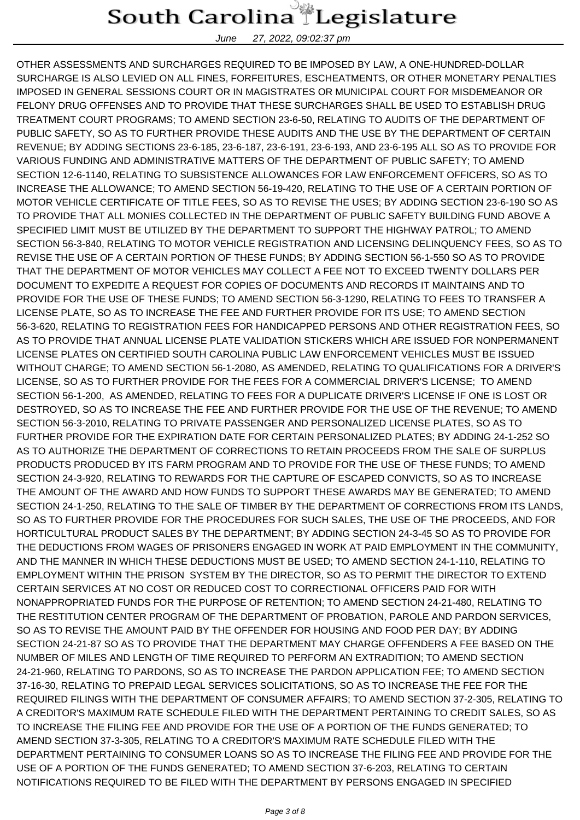June 27, 2022, 09:02:37 pm

OTHER ASSESSMENTS AND SURCHARGES REQUIRED TO BE IMPOSED BY LAW, A ONE-HUNDRED-DOLLAR SURCHARGE IS ALSO LEVIED ON ALL FINES, FORFEITURES, ESCHEATMENTS, OR OTHER MONETARY PENALTIES IMPOSED IN GENERAL SESSIONS COURT OR IN MAGISTRATES OR MUNICIPAL COURT FOR MISDEMEANOR OR FELONY DRUG OFFENSES AND TO PROVIDE THAT THESE SURCHARGES SHALL BE USED TO ESTABLISH DRUG TREATMENT COURT PROGRAMS; TO AMEND SECTION 23-6-50, RELATING TO AUDITS OF THE DEPARTMENT OF PUBLIC SAFETY, SO AS TO FURTHER PROVIDE THESE AUDITS AND THE USE BY THE DEPARTMENT OF CERTAIN REVENUE; BY ADDING SECTIONS 23-6-185, 23-6-187, 23-6-191, 23-6-193, AND 23-6-195 ALL SO AS TO PROVIDE FOR VARIOUS FUNDING AND ADMINISTRATIVE MATTERS OF THE DEPARTMENT OF PUBLIC SAFETY; TO AMEND SECTION 12-6-1140, RELATING TO SUBSISTENCE ALLOWANCES FOR LAW ENFORCEMENT OFFICERS, SO AS TO INCREASE THE ALLOWANCE; TO AMEND SECTION 56-19-420, RELATING TO THE USE OF A CERTAIN PORTION OF MOTOR VEHICLE CERTIFICATE OF TITLE FEES, SO AS TO REVISE THE USES; BY ADDING SECTION 23-6-190 SO AS TO PROVIDE THAT ALL MONIES COLLECTED IN THE DEPARTMENT OF PUBLIC SAFETY BUILDING FUND ABOVE A SPECIFIED LIMIT MUST BE UTILIZED BY THE DEPARTMENT TO SUPPORT THE HIGHWAY PATROL; TO AMEND SECTION 56-3-840, RELATING TO MOTOR VEHICLE REGISTRATION AND LICENSING DELINQUENCY FEES, SO AS TO REVISE THE USE OF A CERTAIN PORTION OF THESE FUNDS; BY ADDING SECTION 56-1-550 SO AS TO PROVIDE THAT THE DEPARTMENT OF MOTOR VEHICLES MAY COLLECT A FEE NOT TO EXCEED TWENTY DOLLARS PER DOCUMENT TO EXPEDITE A REQUEST FOR COPIES OF DOCUMENTS AND RECORDS IT MAINTAINS AND TO PROVIDE FOR THE USE OF THESE FUNDS; TO AMEND SECTION 56-3-1290, RELATING TO FEES TO TRANSFER A LICENSE PLATE, SO AS TO INCREASE THE FEE AND FURTHER PROVIDE FOR ITS USE; TO AMEND SECTION 56-3-620, RELATING TO REGISTRATION FEES FOR HANDICAPPED PERSONS AND OTHER REGISTRATION FEES, SO AS TO PROVIDE THAT ANNUAL LICENSE PLATE VALIDATION STICKERS WHICH ARE ISSUED FOR NONPERMANENT LICENSE PLATES ON CERTIFIED SOUTH CAROLINA PUBLIC LAW ENFORCEMENT VEHICLES MUST BE ISSUED WITHOUT CHARGE; TO AMEND SECTION 56-1-2080, AS AMENDED, RELATING TO QUALIFICATIONS FOR A DRIVER'S LICENSE, SO AS TO FURTHER PROVIDE FOR THE FEES FOR A COMMERCIAL DRIVER'S LICENSE; TO AMEND SECTION 56-1-200, AS AMENDED, RELATING TO FEES FOR A DUPLICATE DRIVER'S LICENSE IF ONE IS LOST OR DESTROYED, SO AS TO INCREASE THE FEE AND FURTHER PROVIDE FOR THE USE OF THE REVENUE; TO AMEND SECTION 56-3-2010, RELATING TO PRIVATE PASSENGER AND PERSONALIZED LICENSE PLATES, SO AS TO FURTHER PROVIDE FOR THE EXPIRATION DATE FOR CERTAIN PERSONALIZED PLATES; BY ADDING 24-1-252 SO AS TO AUTHORIZE THE DEPARTMENT OF CORRECTIONS TO RETAIN PROCEEDS FROM THE SALE OF SURPLUS PRODUCTS PRODUCED BY ITS FARM PROGRAM AND TO PROVIDE FOR THE USE OF THESE FUNDS; TO AMEND SECTION 24-3-920, RELATING TO REWARDS FOR THE CAPTURE OF ESCAPED CONVICTS, SO AS TO INCREASE THE AMOUNT OF THE AWARD AND HOW FUNDS TO SUPPORT THESE AWARDS MAY BE GENERATED; TO AMEND SECTION 24-1-250, RELATING TO THE SALE OF TIMBER BY THE DEPARTMENT OF CORRECTIONS FROM ITS LANDS, SO AS TO FURTHER PROVIDE FOR THE PROCEDURES FOR SUCH SALES, THE USE OF THE PROCEEDS, AND FOR HORTICULTURAL PRODUCT SALES BY THE DEPARTMENT; BY ADDING SECTION 24-3-45 SO AS TO PROVIDE FOR THE DEDUCTIONS FROM WAGES OF PRISONERS ENGAGED IN WORK AT PAID EMPLOYMENT IN THE COMMUNITY, AND THE MANNER IN WHICH THESE DEDUCTIONS MUST BE USED; TO AMEND SECTION 24-1-110, RELATING TO EMPLOYMENT WITHIN THE PRISON SYSTEM BY THE DIRECTOR, SO AS TO PERMIT THE DIRECTOR TO EXTEND CERTAIN SERVICES AT NO COST OR REDUCED COST TO CORRECTIONAL OFFICERS PAID FOR WITH NONAPPROPRIATED FUNDS FOR THE PURPOSE OF RETENTION; TO AMEND SECTION 24-21-480, RELATING TO THE RESTITUTION CENTER PROGRAM OF THE DEPARTMENT OF PROBATION, PAROLE AND PARDON SERVICES, SO AS TO REVISE THE AMOUNT PAID BY THE OFFENDER FOR HOUSING AND FOOD PER DAY; BY ADDING SECTION 24-21-87 SO AS TO PROVIDE THAT THE DEPARTMENT MAY CHARGE OFFENDERS A FEE BASED ON THE NUMBER OF MILES AND LENGTH OF TIME REQUIRED TO PERFORM AN EXTRADITION; TO AMEND SECTION 24-21-960, RELATING TO PARDONS, SO AS TO INCREASE THE PARDON APPLICATION FEE; TO AMEND SECTION 37-16-30, RELATING TO PREPAID LEGAL SERVICES SOLICITATIONS, SO AS TO INCREASE THE FEE FOR THE REQUIRED FILINGS WITH THE DEPARTMENT OF CONSUMER AFFAIRS; TO AMEND SECTION 37-2-305, RELATING TO A CREDITOR'S MAXIMUM RATE SCHEDULE FILED WITH THE DEPARTMENT PERTAINING TO CREDIT SALES, SO AS TO INCREASE THE FILING FEE AND PROVIDE FOR THE USE OF A PORTION OF THE FUNDS GENERATED; TO AMEND SECTION 37-3-305, RELATING TO A CREDITOR'S MAXIMUM RATE SCHEDULE FILED WITH THE DEPARTMENT PERTAINING TO CONSUMER LOANS SO AS TO INCREASE THE FILING FEE AND PROVIDE FOR THE USE OF A PORTION OF THE FUNDS GENERATED; TO AMEND SECTION 37-6-203, RELATING TO CERTAIN NOTIFICATIONS REQUIRED TO BE FILED WITH THE DEPARTMENT BY PERSONS ENGAGED IN SPECIFIED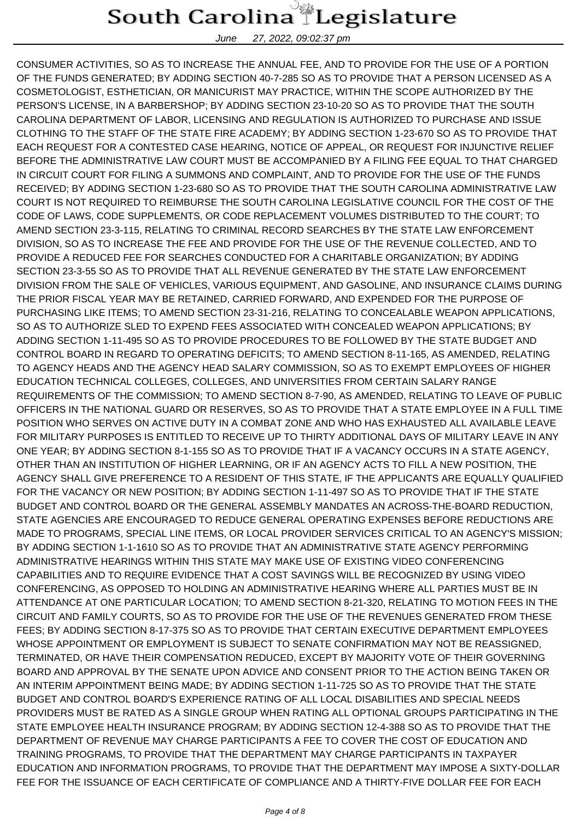June 27, 2022, 09:02:37 pm

CONSUMER ACTIVITIES, SO AS TO INCREASE THE ANNUAL FEE, AND TO PROVIDE FOR THE USE OF A PORTION OF THE FUNDS GENERATED; BY ADDING SECTION 40-7-285 SO AS TO PROVIDE THAT A PERSON LICENSED AS A COSMETOLOGIST, ESTHETICIAN, OR MANICURIST MAY PRACTICE, WITHIN THE SCOPE AUTHORIZED BY THE PERSON'S LICENSE, IN A BARBERSHOP; BY ADDING SECTION 23-10-20 SO AS TO PROVIDE THAT THE SOUTH CAROLINA DEPARTMENT OF LABOR, LICENSING AND REGULATION IS AUTHORIZED TO PURCHASE AND ISSUE CLOTHING TO THE STAFF OF THE STATE FIRE ACADEMY; BY ADDING SECTION 1-23-670 SO AS TO PROVIDE THAT EACH REQUEST FOR A CONTESTED CASE HEARING, NOTICE OF APPEAL, OR REQUEST FOR INJUNCTIVE RELIEF BEFORE THE ADMINISTRATIVE LAW COURT MUST BE ACCOMPANIED BY A FILING FEE EQUAL TO THAT CHARGED IN CIRCUIT COURT FOR FILING A SUMMONS AND COMPLAINT, AND TO PROVIDE FOR THE USE OF THE FUNDS RECEIVED; BY ADDING SECTION 1-23-680 SO AS TO PROVIDE THAT THE SOUTH CAROLINA ADMINISTRATIVE LAW COURT IS NOT REQUIRED TO REIMBURSE THE SOUTH CAROLINA LEGISLATIVE COUNCIL FOR THE COST OF THE CODE OF LAWS, CODE SUPPLEMENTS, OR CODE REPLACEMENT VOLUMES DISTRIBUTED TO THE COURT; TO AMEND SECTION 23-3-115, RELATING TO CRIMINAL RECORD SEARCHES BY THE STATE LAW ENFORCEMENT DIVISION, SO AS TO INCREASE THE FEE AND PROVIDE FOR THE USE OF THE REVENUE COLLECTED, AND TO PROVIDE A REDUCED FEE FOR SEARCHES CONDUCTED FOR A CHARITABLE ORGANIZATION; BY ADDING SECTION 23-3-55 SO AS TO PROVIDE THAT ALL REVENUE GENERATED BY THE STATE LAW ENFORCEMENT DIVISION FROM THE SALE OF VEHICLES, VARIOUS EQUIPMENT, AND GASOLINE, AND INSURANCE CLAIMS DURING THE PRIOR FISCAL YEAR MAY BE RETAINED, CARRIED FORWARD, AND EXPENDED FOR THE PURPOSE OF PURCHASING LIKE ITEMS; TO AMEND SECTION 23-31-216, RELATING TO CONCEALABLE WEAPON APPLICATIONS, SO AS TO AUTHORIZE SLED TO EXPEND FEES ASSOCIATED WITH CONCEALED WEAPON APPLICATIONS; BY ADDING SECTION 1-11-495 SO AS TO PROVIDE PROCEDURES TO BE FOLLOWED BY THE STATE BUDGET AND CONTROL BOARD IN REGARD TO OPERATING DEFICITS; TO AMEND SECTION 8-11-165, AS AMENDED, RELATING TO AGENCY HEADS AND THE AGENCY HEAD SALARY COMMISSION, SO AS TO EXEMPT EMPLOYEES OF HIGHER EDUCATION TECHNICAL COLLEGES, COLLEGES, AND UNIVERSITIES FROM CERTAIN SALARY RANGE REQUIREMENTS OF THE COMMISSION; TO AMEND SECTION 8-7-90, AS AMENDED, RELATING TO LEAVE OF PUBLIC OFFICERS IN THE NATIONAL GUARD OR RESERVES, SO AS TO PROVIDE THAT A STATE EMPLOYEE IN A FULL TIME POSITION WHO SERVES ON ACTIVE DUTY IN A COMBAT ZONE AND WHO HAS EXHAUSTED ALL AVAILABLE LEAVE FOR MILITARY PURPOSES IS ENTITLED TO RECEIVE UP TO THIRTY ADDITIONAL DAYS OF MILITARY LEAVE IN ANY ONE YEAR; BY ADDING SECTION 8-1-155 SO AS TO PROVIDE THAT IF A VACANCY OCCURS IN A STATE AGENCY, OTHER THAN AN INSTITUTION OF HIGHER LEARNING, OR IF AN AGENCY ACTS TO FILL A NEW POSITION, THE AGENCY SHALL GIVE PREFERENCE TO A RESIDENT OF THIS STATE, IF THE APPLICANTS ARE EQUALLY QUALIFIED FOR THE VACANCY OR NEW POSITION; BY ADDING SECTION 1-11-497 SO AS TO PROVIDE THAT IF THE STATE BUDGET AND CONTROL BOARD OR THE GENERAL ASSEMBLY MANDATES AN ACROSS-THE-BOARD REDUCTION, STATE AGENCIES ARE ENCOURAGED TO REDUCE GENERAL OPERATING EXPENSES BEFORE REDUCTIONS ARE MADE TO PROGRAMS, SPECIAL LINE ITEMS, OR LOCAL PROVIDER SERVICES CRITICAL TO AN AGENCY'S MISSION; BY ADDING SECTION 1-1-1610 SO AS TO PROVIDE THAT AN ADMINISTRATIVE STATE AGENCY PERFORMING ADMINISTRATIVE HEARINGS WITHIN THIS STATE MAY MAKE USE OF EXISTING VIDEO CONFERENCING CAPABILITIES AND TO REQUIRE EVIDENCE THAT A COST SAVINGS WILL BE RECOGNIZED BY USING VIDEO CONFERENCING, AS OPPOSED TO HOLDING AN ADMINISTRATIVE HEARING WHERE ALL PARTIES MUST BE IN ATTENDANCE AT ONE PARTICULAR LOCATION; TO AMEND SECTION 8-21-320, RELATING TO MOTION FEES IN THE CIRCUIT AND FAMILY COURTS, SO AS TO PROVIDE FOR THE USE OF THE REVENUES GENERATED FROM THESE FEES; BY ADDING SECTION 8-17-375 SO AS TO PROVIDE THAT CERTAIN EXECUTIVE DEPARTMENT EMPLOYEES WHOSE APPOINTMENT OR EMPLOYMENT IS SUBJECT TO SENATE CONFIRMATION MAY NOT BE REASSIGNED, TERMINATED, OR HAVE THEIR COMPENSATION REDUCED, EXCEPT BY MAJORITY VOTE OF THEIR GOVERNING BOARD AND APPROVAL BY THE SENATE UPON ADVICE AND CONSENT PRIOR TO THE ACTION BEING TAKEN OR AN INTERIM APPOINTMENT BEING MADE; BY ADDING SECTION 1-11-725 SO AS TO PROVIDE THAT THE STATE BUDGET AND CONTROL BOARD'S EXPERIENCE RATING OF ALL LOCAL DISABILITIES AND SPECIAL NEEDS PROVIDERS MUST BE RATED AS A SINGLE GROUP WHEN RATING ALL OPTIONAL GROUPS PARTICIPATING IN THE STATE EMPLOYEE HEALTH INSURANCE PROGRAM; BY ADDING SECTION 12-4-388 SO AS TO PROVIDE THAT THE DEPARTMENT OF REVENUE MAY CHARGE PARTICIPANTS A FEE TO COVER THE COST OF EDUCATION AND TRAINING PROGRAMS, TO PROVIDE THAT THE DEPARTMENT MAY CHARGE PARTICIPANTS IN TAXPAYER EDUCATION AND INFORMATION PROGRAMS, TO PROVIDE THAT THE DEPARTMENT MAY IMPOSE A SIXTY-DOLLAR FEE FOR THE ISSUANCE OF EACH CERTIFICATE OF COMPLIANCE AND A THIRTY-FIVE DOLLAR FEE FOR EACH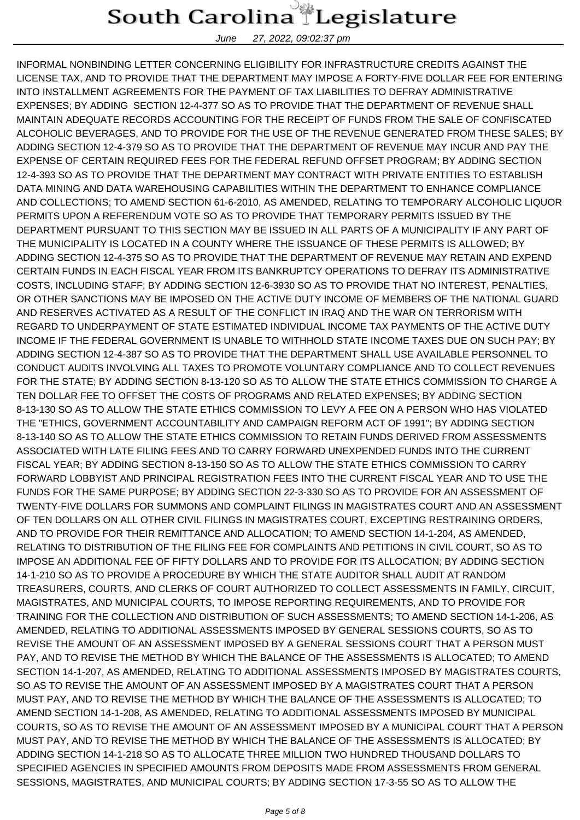June 27, 2022, 09:02:37 pm

INFORMAL NONBINDING LETTER CONCERNING ELIGIBILITY FOR INFRASTRUCTURE CREDITS AGAINST THE LICENSE TAX, AND TO PROVIDE THAT THE DEPARTMENT MAY IMPOSE A FORTY-FIVE DOLLAR FEE FOR ENTERING INTO INSTALLMENT AGREEMENTS FOR THE PAYMENT OF TAX LIABILITIES TO DEFRAY ADMINISTRATIVE EXPENSES; BY ADDING SECTION 12-4-377 SO AS TO PROVIDE THAT THE DEPARTMENT OF REVENUE SHALL MAINTAIN ADEQUATE RECORDS ACCOUNTING FOR THE RECEIPT OF FUNDS FROM THE SALE OF CONFISCATED ALCOHOLIC BEVERAGES, AND TO PROVIDE FOR THE USE OF THE REVENUE GENERATED FROM THESE SALES; BY ADDING SECTION 12-4-379 SO AS TO PROVIDE THAT THE DEPARTMENT OF REVENUE MAY INCUR AND PAY THE EXPENSE OF CERTAIN REQUIRED FEES FOR THE FEDERAL REFUND OFFSET PROGRAM; BY ADDING SECTION 12-4-393 SO AS TO PROVIDE THAT THE DEPARTMENT MAY CONTRACT WITH PRIVATE ENTITIES TO ESTABLISH DATA MINING AND DATA WAREHOUSING CAPABILITIES WITHIN THE DEPARTMENT TO ENHANCE COMPLIANCE AND COLLECTIONS; TO AMEND SECTION 61-6-2010, AS AMENDED, RELATING TO TEMPORARY ALCOHOLIC LIQUOR PERMITS UPON A REFERENDUM VOTE SO AS TO PROVIDE THAT TEMPORARY PERMITS ISSUED BY THE DEPARTMENT PURSUANT TO THIS SECTION MAY BE ISSUED IN ALL PARTS OF A MUNICIPALITY IF ANY PART OF THE MUNICIPALITY IS LOCATED IN A COUNTY WHERE THE ISSUANCE OF THESE PERMITS IS ALLOWED; BY ADDING SECTION 12-4-375 SO AS TO PROVIDE THAT THE DEPARTMENT OF REVENUE MAY RETAIN AND EXPEND CERTAIN FUNDS IN EACH FISCAL YEAR FROM ITS BANKRUPTCY OPERATIONS TO DEFRAY ITS ADMINISTRATIVE COSTS, INCLUDING STAFF; BY ADDING SECTION 12-6-3930 SO AS TO PROVIDE THAT NO INTEREST, PENALTIES, OR OTHER SANCTIONS MAY BE IMPOSED ON THE ACTIVE DUTY INCOME OF MEMBERS OF THE NATIONAL GUARD AND RESERVES ACTIVATED AS A RESULT OF THE CONFLICT IN IRAQ AND THE WAR ON TERRORISM WITH REGARD TO UNDERPAYMENT OF STATE ESTIMATED INDIVIDUAL INCOME TAX PAYMENTS OF THE ACTIVE DUTY INCOME IF THE FEDERAL GOVERNMENT IS UNABLE TO WITHHOLD STATE INCOME TAXES DUE ON SUCH PAY; BY ADDING SECTION 12-4-387 SO AS TO PROVIDE THAT THE DEPARTMENT SHALL USE AVAILABLE PERSONNEL TO CONDUCT AUDITS INVOLVING ALL TAXES TO PROMOTE VOLUNTARY COMPLIANCE AND TO COLLECT REVENUES FOR THE STATE; BY ADDING SECTION 8-13-120 SO AS TO ALLOW THE STATE ETHICS COMMISSION TO CHARGE A TEN DOLLAR FEE TO OFFSET THE COSTS OF PROGRAMS AND RELATED EXPENSES; BY ADDING SECTION 8-13-130 SO AS TO ALLOW THE STATE ETHICS COMMISSION TO LEVY A FEE ON A PERSON WHO HAS VIOLATED THE "ETHICS, GOVERNMENT ACCOUNTABILITY AND CAMPAIGN REFORM ACT OF 1991"; BY ADDING SECTION 8-13-140 SO AS TO ALLOW THE STATE ETHICS COMMISSION TO RETAIN FUNDS DERIVED FROM ASSESSMENTS ASSOCIATED WITH LATE FILING FEES AND TO CARRY FORWARD UNEXPENDED FUNDS INTO THE CURRENT FISCAL YEAR; BY ADDING SECTION 8-13-150 SO AS TO ALLOW THE STATE ETHICS COMMISSION TO CARRY FORWARD LOBBYIST AND PRINCIPAL REGISTRATION FEES INTO THE CURRENT FISCAL YEAR AND TO USE THE FUNDS FOR THE SAME PURPOSE; BY ADDING SECTION 22-3-330 SO AS TO PROVIDE FOR AN ASSESSMENT OF TWENTY-FIVE DOLLARS FOR SUMMONS AND COMPLAINT FILINGS IN MAGISTRATES COURT AND AN ASSESSMENT OF TEN DOLLARS ON ALL OTHER CIVIL FILINGS IN MAGISTRATES COURT, EXCEPTING RESTRAINING ORDERS, AND TO PROVIDE FOR THEIR REMITTANCE AND ALLOCATION; TO AMEND SECTION 14-1-204, AS AMENDED, RELATING TO DISTRIBUTION OF THE FILING FEE FOR COMPLAINTS AND PETITIONS IN CIVIL COURT, SO AS TO IMPOSE AN ADDITIONAL FEE OF FIFTY DOLLARS AND TO PROVIDE FOR ITS ALLOCATION; BY ADDING SECTION 14-1-210 SO AS TO PROVIDE A PROCEDURE BY WHICH THE STATE AUDITOR SHALL AUDIT AT RANDOM TREASURERS, COURTS, AND CLERKS OF COURT AUTHORIZED TO COLLECT ASSESSMENTS IN FAMILY, CIRCUIT, MAGISTRATES, AND MUNICIPAL COURTS, TO IMPOSE REPORTING REQUIREMENTS, AND TO PROVIDE FOR TRAINING FOR THE COLLECTION AND DISTRIBUTION OF SUCH ASSESSMENTS; TO AMEND SECTION 14-1-206, AS AMENDED, RELATING TO ADDITIONAL ASSESSMENTS IMPOSED BY GENERAL SESSIONS COURTS, SO AS TO REVISE THE AMOUNT OF AN ASSESSMENT IMPOSED BY A GENERAL SESSIONS COURT THAT A PERSON MUST PAY, AND TO REVISE THE METHOD BY WHICH THE BALANCE OF THE ASSESSMENTS IS ALLOCATED; TO AMEND SECTION 14-1-207, AS AMENDED, RELATING TO ADDITIONAL ASSESSMENTS IMPOSED BY MAGISTRATES COURTS, SO AS TO REVISE THE AMOUNT OF AN ASSESSMENT IMPOSED BY A MAGISTRATES COURT THAT A PERSON MUST PAY, AND TO REVISE THE METHOD BY WHICH THE BALANCE OF THE ASSESSMENTS IS ALLOCATED; TO AMEND SECTION 14-1-208, AS AMENDED, RELATING TO ADDITIONAL ASSESSMENTS IMPOSED BY MUNICIPAL COURTS, SO AS TO REVISE THE AMOUNT OF AN ASSESSMENT IMPOSED BY A MUNICIPAL COURT THAT A PERSON MUST PAY, AND TO REVISE THE METHOD BY WHICH THE BALANCE OF THE ASSESSMENTS IS ALLOCATED; BY ADDING SECTION 14-1-218 SO AS TO ALLOCATE THREE MILLION TWO HUNDRED THOUSAND DOLLARS TO SPECIFIED AGENCIES IN SPECIFIED AMOUNTS FROM DEPOSITS MADE FROM ASSESSMENTS FROM GENERAL SESSIONS, MAGISTRATES, AND MUNICIPAL COURTS; BY ADDING SECTION 17-3-55 SO AS TO ALLOW THE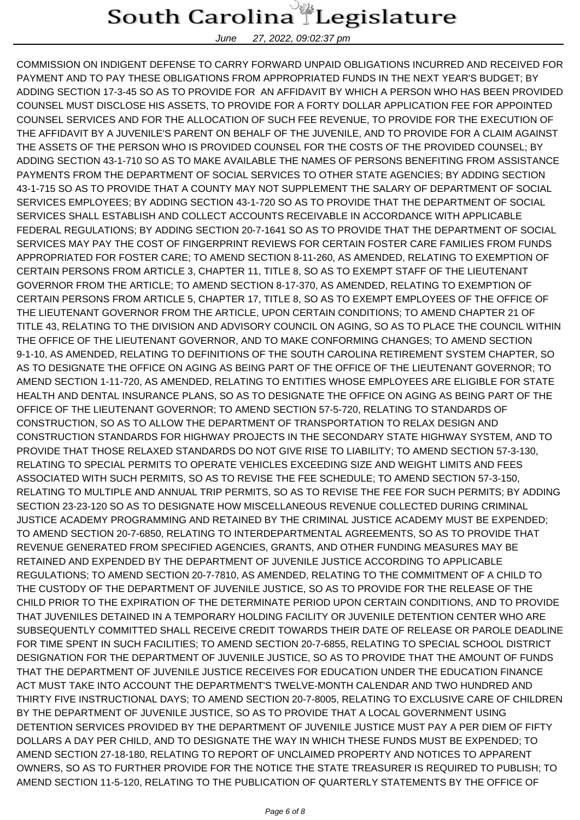June 27, 2022, 09:02:37 pm

COMMISSION ON INDIGENT DEFENSE TO CARRY FORWARD UNPAID OBLIGATIONS INCURRED AND RECEIVED FOR PAYMENT AND TO PAY THESE OBLIGATIONS FROM APPROPRIATED FUNDS IN THE NEXT YEAR'S BUDGET; BY ADDING SECTION 17-3-45 SO AS TO PROVIDE FOR AN AFFIDAVIT BY WHICH A PERSON WHO HAS BEEN PROVIDED COUNSEL MUST DISCLOSE HIS ASSETS, TO PROVIDE FOR A FORTY DOLLAR APPLICATION FEE FOR APPOINTED COUNSEL SERVICES AND FOR THE ALLOCATION OF SUCH FEE REVENUE, TO PROVIDE FOR THE EXECUTION OF THE AFFIDAVIT BY A JUVENILE'S PARENT ON BEHALF OF THE JUVENILE, AND TO PROVIDE FOR A CLAIM AGAINST THE ASSETS OF THE PERSON WHO IS PROVIDED COUNSEL FOR THE COSTS OF THE PROVIDED COUNSEL; BY ADDING SECTION 43-1-710 SO AS TO MAKE AVAILABLE THE NAMES OF PERSONS BENEFITING FROM ASSISTANCE PAYMENTS FROM THE DEPARTMENT OF SOCIAL SERVICES TO OTHER STATE AGENCIES; BY ADDING SECTION 43-1-715 SO AS TO PROVIDE THAT A COUNTY MAY NOT SUPPLEMENT THE SALARY OF DEPARTMENT OF SOCIAL SERVICES EMPLOYEES; BY ADDING SECTION 43-1-720 SO AS TO PROVIDE THAT THE DEPARTMENT OF SOCIAL SERVICES SHALL ESTABLISH AND COLLECT ACCOUNTS RECEIVABLE IN ACCORDANCE WITH APPLICABLE FEDERAL REGULATIONS; BY ADDING SECTION 20-7-1641 SO AS TO PROVIDE THAT THE DEPARTMENT OF SOCIAL SERVICES MAY PAY THE COST OF FINGERPRINT REVIEWS FOR CERTAIN FOSTER CARE FAMILIES FROM FUNDS APPROPRIATED FOR FOSTER CARE; TO AMEND SECTION 8-11-260, AS AMENDED, RELATING TO EXEMPTION OF CERTAIN PERSONS FROM ARTICLE 3, CHAPTER 11, TITLE 8, SO AS TO EXEMPT STAFF OF THE LIEUTENANT GOVERNOR FROM THE ARTICLE; TO AMEND SECTION 8-17-370, AS AMENDED, RELATING TO EXEMPTION OF CERTAIN PERSONS FROM ARTICLE 5, CHAPTER 17, TITLE 8, SO AS TO EXEMPT EMPLOYEES OF THE OFFICE OF THE LIEUTENANT GOVERNOR FROM THE ARTICLE, UPON CERTAIN CONDITIONS; TO AMEND CHAPTER 21 OF TITLE 43, RELATING TO THE DIVISION AND ADVISORY COUNCIL ON AGING, SO AS TO PLACE THE COUNCIL WITHIN THE OFFICE OF THE LIEUTENANT GOVERNOR, AND TO MAKE CONFORMING CHANGES; TO AMEND SECTION 9-1-10, AS AMENDED, RELATING TO DEFINITIONS OF THE SOUTH CAROLINA RETIREMENT SYSTEM CHAPTER, SO AS TO DESIGNATE THE OFFICE ON AGING AS BEING PART OF THE OFFICE OF THE LIEUTENANT GOVERNOR; TO AMEND SECTION 1-11-720, AS AMENDED, RELATING TO ENTITIES WHOSE EMPLOYEES ARE ELIGIBLE FOR STATE HEALTH AND DENTAL INSURANCE PLANS, SO AS TO DESIGNATE THE OFFICE ON AGING AS BEING PART OF THE OFFICE OF THE LIEUTENANT GOVERNOR; TO AMEND SECTION 57-5-720, RELATING TO STANDARDS OF CONSTRUCTION, SO AS TO ALLOW THE DEPARTMENT OF TRANSPORTATION TO RELAX DESIGN AND CONSTRUCTION STANDARDS FOR HIGHWAY PROJECTS IN THE SECONDARY STATE HIGHWAY SYSTEM, AND TO PROVIDE THAT THOSE RELAXED STANDARDS DO NOT GIVE RISE TO LIABILITY; TO AMEND SECTION 57-3-130, RELATING TO SPECIAL PERMITS TO OPERATE VEHICLES EXCEEDING SIZE AND WEIGHT LIMITS AND FEES ASSOCIATED WITH SUCH PERMITS, SO AS TO REVISE THE FEE SCHEDULE; TO AMEND SECTION 57-3-150, RELATING TO MULTIPLE AND ANNUAL TRIP PERMITS, SO AS TO REVISE THE FEE FOR SUCH PERMITS; BY ADDING SECTION 23-23-120 SO AS TO DESIGNATE HOW MISCELLANEOUS REVENUE COLLECTED DURING CRIMINAL JUSTICE ACADEMY PROGRAMMING AND RETAINED BY THE CRIMINAL JUSTICE ACADEMY MUST BE EXPENDED; TO AMEND SECTION 20-7-6850, RELATING TO INTERDEPARTMENTAL AGREEMENTS, SO AS TO PROVIDE THAT REVENUE GENERATED FROM SPECIFIED AGENCIES, GRANTS, AND OTHER FUNDING MEASURES MAY BE RETAINED AND EXPENDED BY THE DEPARTMENT OF JUVENILE JUSTICE ACCORDING TO APPLICABLE REGULATIONS; TO AMEND SECTION 20-7-7810, AS AMENDED, RELATING TO THE COMMITMENT OF A CHILD TO THE CUSTODY OF THE DEPARTMENT OF JUVENILE JUSTICE, SO AS TO PROVIDE FOR THE RELEASE OF THE CHILD PRIOR TO THE EXPIRATION OF THE DETERMINATE PERIOD UPON CERTAIN CONDITIONS, AND TO PROVIDE THAT JUVENILES DETAINED IN A TEMPORARY HOLDING FACILITY OR JUVENILE DETENTION CENTER WHO ARE SUBSEQUENTLY COMMITTED SHALL RECEIVE CREDIT TOWARDS THEIR DATE OF RELEASE OR PAROLE DEADLINE FOR TIME SPENT IN SUCH FACILITIES; TO AMEND SECTION 20-7-6855, RELATING TO SPECIAL SCHOOL DISTRICT DESIGNATION FOR THE DEPARTMENT OF JUVENILE JUSTICE, SO AS TO PROVIDE THAT THE AMOUNT OF FUNDS THAT THE DEPARTMENT OF JUVENILE JUSTICE RECEIVES FOR EDUCATION UNDER THE EDUCATION FINANCE ACT MUST TAKE INTO ACCOUNT THE DEPARTMENT'S TWELVE-MONTH CALENDAR AND TWO HUNDRED AND THIRTY FIVE INSTRUCTIONAL DAYS; TO AMEND SECTION 20-7-8005, RELATING TO EXCLUSIVE CARE OF CHILDREN BY THE DEPARTMENT OF JUVENILE JUSTICE, SO AS TO PROVIDE THAT A LOCAL GOVERNMENT USING DETENTION SERVICES PROVIDED BY THE DEPARTMENT OF JUVENILE JUSTICE MUST PAY A PER DIEM OF FIFTY DOLLARS A DAY PER CHILD, AND TO DESIGNATE THE WAY IN WHICH THESE FUNDS MUST BE EXPENDED; TO AMEND SECTION 27-18-180, RELATING TO REPORT OF UNCLAIMED PROPERTY AND NOTICES TO APPARENT OWNERS, SO AS TO FURTHER PROVIDE FOR THE NOTICE THE STATE TREASURER IS REQUIRED TO PUBLISH; TO AMEND SECTION 11-5-120, RELATING TO THE PUBLICATION OF QUARTERLY STATEMENTS BY THE OFFICE OF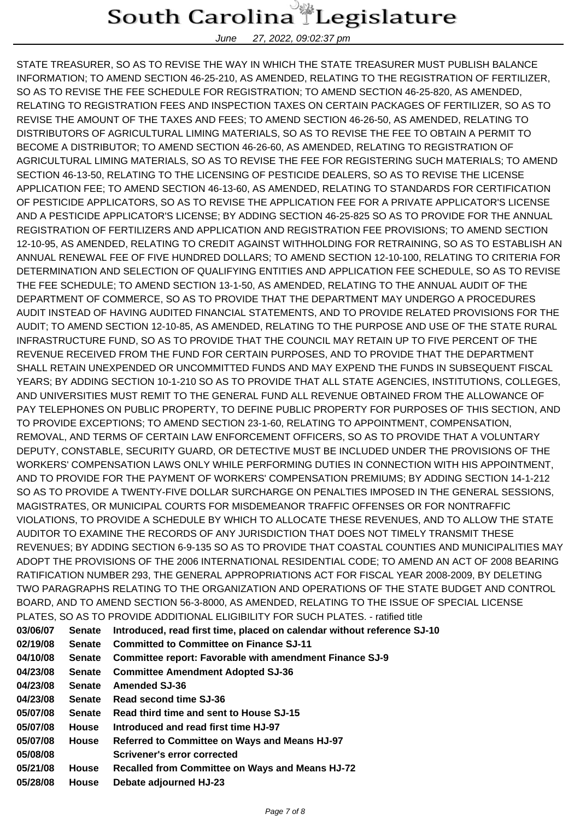June 27, 2022, 09:02:37 pm

STATE TREASURER, SO AS TO REVISE THE WAY IN WHICH THE STATE TREASURER MUST PUBLISH BALANCE INFORMATION; TO AMEND SECTION 46-25-210, AS AMENDED, RELATING TO THE REGISTRATION OF FERTILIZER, SO AS TO REVISE THE FEE SCHEDULE FOR REGISTRATION; TO AMEND SECTION 46-25-820, AS AMENDED, RELATING TO REGISTRATION FEES AND INSPECTION TAXES ON CERTAIN PACKAGES OF FERTILIZER, SO AS TO REVISE THE AMOUNT OF THE TAXES AND FEES; TO AMEND SECTION 46-26-50, AS AMENDED, RELATING TO DISTRIBUTORS OF AGRICULTURAL LIMING MATERIALS, SO AS TO REVISE THE FEE TO OBTAIN A PERMIT TO BECOME A DISTRIBUTOR; TO AMEND SECTION 46-26-60, AS AMENDED, RELATING TO REGISTRATION OF AGRICULTURAL LIMING MATERIALS, SO AS TO REVISE THE FEE FOR REGISTERING SUCH MATERIALS; TO AMEND SECTION 46-13-50, RELATING TO THE LICENSING OF PESTICIDE DEALERS, SO AS TO REVISE THE LICENSE APPLICATION FEE; TO AMEND SECTION 46-13-60, AS AMENDED, RELATING TO STANDARDS FOR CERTIFICATION OF PESTICIDE APPLICATORS, SO AS TO REVISE THE APPLICATION FEE FOR A PRIVATE APPLICATOR'S LICENSE AND A PESTICIDE APPLICATOR'S LICENSE; BY ADDING SECTION 46-25-825 SO AS TO PROVIDE FOR THE ANNUAL REGISTRATION OF FERTILIZERS AND APPLICATION AND REGISTRATION FEE PROVISIONS; TO AMEND SECTION 12-10-95, AS AMENDED, RELATING TO CREDIT AGAINST WITHHOLDING FOR RETRAINING, SO AS TO ESTABLISH AN ANNUAL RENEWAL FEE OF FIVE HUNDRED DOLLARS; TO AMEND SECTION 12-10-100, RELATING TO CRITERIA FOR DETERMINATION AND SELECTION OF QUALIFYING ENTITIES AND APPLICATION FEE SCHEDULE, SO AS TO REVISE THE FEE SCHEDULE; TO AMEND SECTION 13-1-50, AS AMENDED, RELATING TO THE ANNUAL AUDIT OF THE DEPARTMENT OF COMMERCE, SO AS TO PROVIDE THAT THE DEPARTMENT MAY UNDERGO A PROCEDURES AUDIT INSTEAD OF HAVING AUDITED FINANCIAL STATEMENTS, AND TO PROVIDE RELATED PROVISIONS FOR THE AUDIT; TO AMEND SECTION 12-10-85, AS AMENDED, RELATING TO THE PURPOSE AND USE OF THE STATE RURAL INFRASTRUCTURE FUND, SO AS TO PROVIDE THAT THE COUNCIL MAY RETAIN UP TO FIVE PERCENT OF THE REVENUE RECEIVED FROM THE FUND FOR CERTAIN PURPOSES, AND TO PROVIDE THAT THE DEPARTMENT SHALL RETAIN UNEXPENDED OR UNCOMMITTED FUNDS AND MAY EXPEND THE FUNDS IN SUBSEQUENT FISCAL YEARS; BY ADDING SECTION 10-1-210 SO AS TO PROVIDE THAT ALL STATE AGENCIES, INSTITUTIONS, COLLEGES, AND UNIVERSITIES MUST REMIT TO THE GENERAL FUND ALL REVENUE OBTAINED FROM THE ALLOWANCE OF PAY TELEPHONES ON PUBLIC PROPERTY, TO DEFINE PUBLIC PROPERTY FOR PURPOSES OF THIS SECTION, AND TO PROVIDE EXCEPTIONS; TO AMEND SECTION 23-1-60, RELATING TO APPOINTMENT, COMPENSATION, REMOVAL, AND TERMS OF CERTAIN LAW ENFORCEMENT OFFICERS, SO AS TO PROVIDE THAT A VOLUNTARY DEPUTY, CONSTABLE, SECURITY GUARD, OR DETECTIVE MUST BE INCLUDED UNDER THE PROVISIONS OF THE WORKERS' COMPENSATION LAWS ONLY WHILE PERFORMING DUTIES IN CONNECTION WITH HIS APPOINTMENT, AND TO PROVIDE FOR THE PAYMENT OF WORKERS' COMPENSATION PREMIUMS; BY ADDING SECTION 14-1-212 SO AS TO PROVIDE A TWENTY-FIVE DOLLAR SURCHARGE ON PENALTIES IMPOSED IN THE GENERAL SESSIONS, MAGISTRATES, OR MUNICIPAL COURTS FOR MISDEMEANOR TRAFFIC OFFENSES OR FOR NONTRAFFIC VIOLATIONS, TO PROVIDE A SCHEDULE BY WHICH TO ALLOCATE THESE REVENUES, AND TO ALLOW THE STATE AUDITOR TO EXAMINE THE RECORDS OF ANY JURISDICTION THAT DOES NOT TIMELY TRANSMIT THESE REVENUES; BY ADDING SECTION 6-9-135 SO AS TO PROVIDE THAT COASTAL COUNTIES AND MUNICIPALITIES MAY ADOPT THE PROVISIONS OF THE 2006 INTERNATIONAL RESIDENTIAL CODE; TO AMEND AN ACT OF 2008 BEARING RATIFICATION NUMBER 293, THE GENERAL APPROPRIATIONS ACT FOR FISCAL YEAR 2008-2009, BY DELETING TWO PARAGRAPHS RELATING TO THE ORGANIZATION AND OPERATIONS OF THE STATE BUDGET AND CONTROL BOARD, AND TO AMEND SECTION 56-3-8000, AS AMENDED, RELATING TO THE ISSUE OF SPECIAL LICENSE PLATES, SO AS TO PROVIDE ADDITIONAL ELIGIBILITY FOR SUCH PLATES. - ratified title

| <b>03/06/07</b> | <b>Senate</b> | Introduced, read first time, placed on calendar without reference SJ-10 |
|-----------------|---------------|-------------------------------------------------------------------------|
| 02/19/08        | <b>Senate</b> | <b>Committed to Committee on Finance SJ-11</b>                          |
| 04/10/08        | <b>Senate</b> | <b>Committee report: Favorable with amendment Finance SJ-9</b>          |
| 04/23/08        | <b>Senate</b> | <b>Committee Amendment Adopted SJ-36</b>                                |
| <b>04/23/08</b> | <b>Senate</b> | <b>Amended SJ-36</b>                                                    |
| 04/23/08        | <b>Senate</b> | Read second time SJ-36                                                  |
| 05/07/08        | <b>Senate</b> | Read third time and sent to House SJ-15                                 |
| 05/07/08        | <b>House</b>  | Introduced and read first time HJ-97                                    |
| <b>05/07/08</b> | <b>House</b>  | Referred to Committee on Ways and Means HJ-97                           |
| 05/08/08        |               | <b>Scrivener's error corrected</b>                                      |
| 05/21/08        | <b>House</b>  | Recalled from Committee on Ways and Means HJ-72                         |
| 05/28/08        | <b>House</b>  | Debate adjourned HJ-23                                                  |
|                 |               |                                                                         |